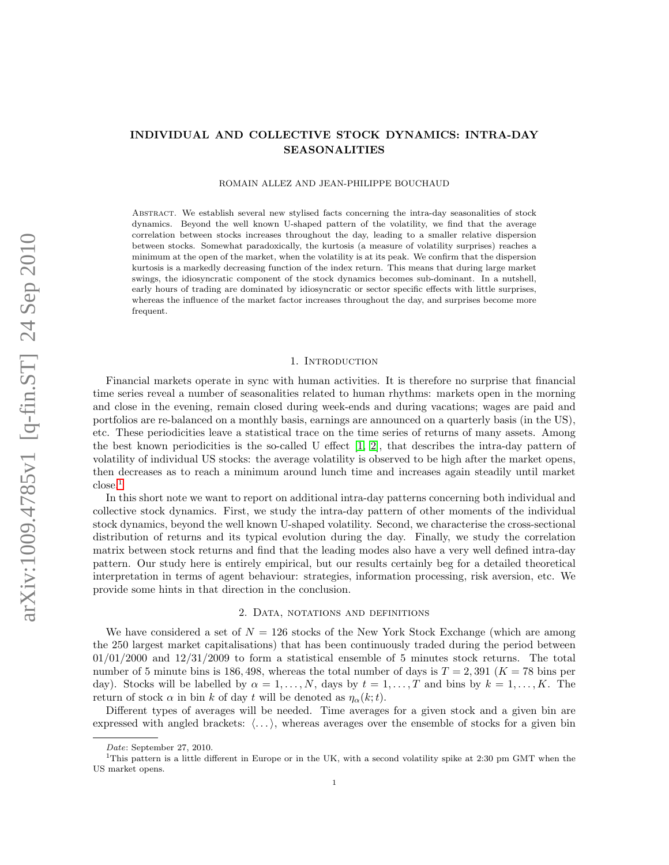# INDIVIDUAL AND COLLECTIVE STOCK DYNAMICS: INTRA-DAY SEASONALITIES

#### ROMAIN ALLEZ AND JEAN-PHILIPPE BOUCHAUD

Abstract. We establish several new stylised facts concerning the intra-day seasonalities of stock dynamics. Beyond the well known U-shaped pattern of the volatility, we find that the average correlation between stocks increases throughout the day, leading to a smaller relative dispersion between stocks. Somewhat paradoxically, the kurtosis (a measure of volatility surprises) reaches a minimum at the open of the market, when the volatility is at its peak. We confirm that the dispersion kurtosis is a markedly decreasing function of the index return. This means that during large market swings, the idiosyncratic component of the stock dynamics becomes sub-dominant. In a nutshell, early hours of trading are dominated by idiosyncratic or sector specific effects with little surprises, whereas the influence of the market factor increases throughout the day, and surprises become more frequent.

## 1. INTRODUCTION

Financial markets operate in sync with human activities. It is therefore no surprise that financial time series reveal a number of seasonalities related to human rhythms: markets open in the morning and close in the evening, remain closed during week-ends and during vacations; wages are paid and portfolios are re-balanced on a monthly basis, earnings are announced on a quarterly basis (in the US), etc. These periodicities leave a statistical trace on the time series of returns of many assets. Among the best known periodicities is the so-called U effect  $[1, 2]$  $[1, 2]$ , that describes the intra-day pattern of volatility of individual US stocks: the average volatility is observed to be high after the market opens, then decreases as to reach a minimum around lunch time and increases again steadily until market close.[1](#page-0-0)

In this short note we want to report on additional intra-day patterns concerning both individual and collective stock dynamics. First, we study the intra-day pattern of other moments of the individual stock dynamics, beyond the well known U-shaped volatility. Second, we characterise the cross-sectional distribution of returns and its typical evolution during the day. Finally, we study the correlation matrix between stock returns and find that the leading modes also have a very well defined intra-day pattern. Our study here is entirely empirical, but our results certainly beg for a detailed theoretical interpretation in terms of agent behaviour: strategies, information processing, risk aversion, etc. We provide some hints in that direction in the conclusion.

## 2. DATA, NOTATIONS AND DEFINITIONS

We have considered a set of  $N = 126$  stocks of the New York Stock Exchange (which are among the 250 largest market capitalisations) that has been continuously traded during the period between  $01/01/2000$  and  $12/31/2009$  to form a statistical ensemble of 5 minutes stock returns. The total number of 5 minute bins is 186, 498, whereas the total number of days is  $T = 2,391$  ( $K = 78$  bins per day). Stocks will be labelled by  $\alpha = 1, \ldots, N$ , days by  $t = 1, \ldots, T$  and bins by  $k = 1, \ldots, K$ . The return of stock  $\alpha$  in bin k of day t will be denoted as  $\eta_{\alpha}(k;t)$ .

Different types of averages will be needed. Time averages for a given stock and a given bin are expressed with angled brackets:  $\langle \ldots \rangle$ , whereas averages over the ensemble of stocks for a given bin

<span id="page-0-0"></span>Date: September 27, 2010.

<sup>&</sup>lt;sup>1</sup>This pattern is a little different in Europe or in the UK, with a second volatility spike at 2:30 pm GMT when the US market opens.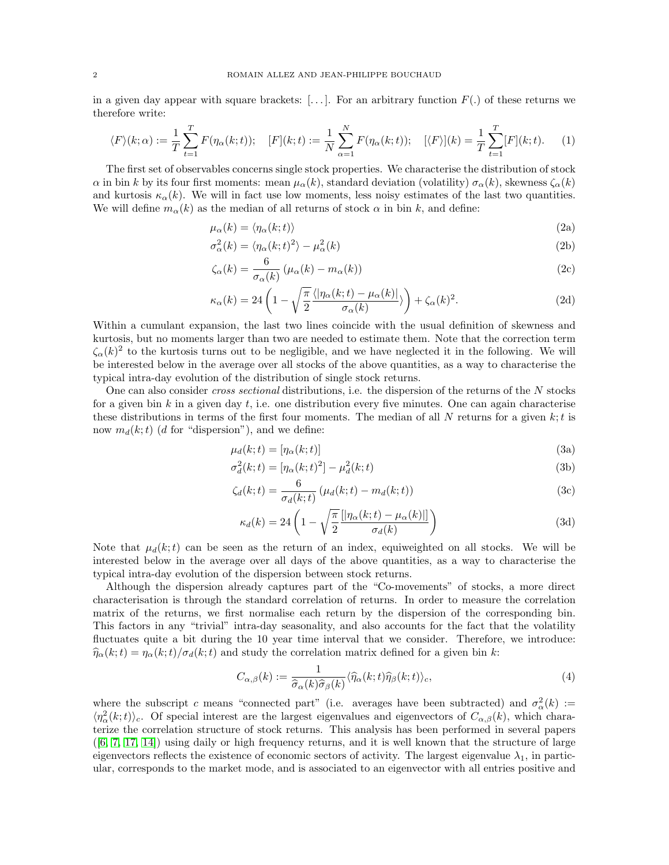in a given day appear with square brackets:  $[\dots]$ . For an arbitrary function  $F(.)$  of these returns we therefore write:

$$
\langle F \rangle (k; \alpha) := \frac{1}{T} \sum_{t=1}^{T} F(\eta_{\alpha}(k; t)); \quad [F](k; t) := \frac{1}{N} \sum_{\alpha=1}^{N} F(\eta_{\alpha}(k; t)); \quad [\langle F \rangle](k) = \frac{1}{T} \sum_{t=1}^{T} [F](k; t). \tag{1}
$$

The first set of observables concerns single stock properties. We characterise the distribution of stock  $\alpha$  in bin k by its four first moments: mean  $\mu_\alpha(k)$ , standard deviation (volatility)  $\sigma_\alpha(k)$ , skewness  $\zeta_\alpha(k)$ and kurtosis  $\kappa_{\alpha}(k)$ . We will in fact use low moments, less noisy estimates of the last two quantities. We will define  $m_{\alpha}(k)$  as the median of all returns of stock  $\alpha$  in bin k, and define:

$$
\mu_{\alpha}(k) = \langle \eta_{\alpha}(k; t) \rangle \tag{2a}
$$

$$
\sigma_{\alpha}^{2}(k) = \langle \eta_{\alpha}(k; t)^{2} \rangle - \mu_{\alpha}^{2}(k)
$$
\n(2b)

$$
\zeta_{\alpha}(k) = \frac{6}{\sigma_{\alpha}(k)} \left( \mu_{\alpha}(k) - m_{\alpha}(k) \right) \tag{2c}
$$

$$
\kappa_{\alpha}(k) = 24\left(1 - \sqrt{\frac{\pi}{2}} \frac{\langle |\eta_{\alpha}(k;t) - \mu_{\alpha}(k)|}{\sigma_{\alpha}(k)} \rangle \right) + \zeta_{\alpha}(k)^2.
$$
 (2d)

Within a cumulant expansion, the last two lines coincide with the usual definition of skewness and kurtosis, but no moments larger than two are needed to estimate them. Note that the correction term  $\zeta_{\alpha}(k)^2$  to the kurtosis turns out to be negligible, and we have neglected it in the following. We will be interested below in the average over all stocks of the above quantities, as a way to characterise the typical intra-day evolution of the distribution of single stock returns.

One can also consider cross sectional distributions, i.e. the dispersion of the returns of the N stocks for a given bin k in a given day t, i.e. one distribution every five minutes. One can again characterise these distributions in terms of the first four moments. The median of all N returns for a given  $k; t$  is now  $m_d(k;t)$  (d for "dispersion"), and we define:

$$
\mu_d(k;t) = [\eta_\alpha(k;t)] \tag{3a}
$$

$$
\sigma_d^2(k;t) = \left[\eta_\alpha(k;t)^2\right] - \mu_d^2(k;t) \tag{3b}
$$

$$
\zeta_d(k;t) = \frac{6}{\sigma_d(k;t)} \left( \mu_d(k;t) - m_d(k;t) \right) \tag{3c}
$$

$$
\kappa_d(k) = 24 \left( 1 - \sqrt{\frac{\pi}{2}} \frac{[|\eta_\alpha(k;t) - \mu_\alpha(k)|]}{\sigma_d(k)} \right)
$$
\n(3d)

Note that  $\mu_d(k;t)$  can be seen as the return of an index, equiweighted on all stocks. We will be interested below in the average over all days of the above quantities, as a way to characterise the typical intra-day evolution of the dispersion between stock returns.

Although the dispersion already captures part of the "Co-movements" of stocks, a more direct characterisation is through the standard correlation of returns. In order to measure the correlation matrix of the returns, we first normalise each return by the dispersion of the corresponding bin. This factors in any "trivial" intra-day seasonality, and also accounts for the fact that the volatility fluctuates quite a bit during the 10 year time interval that we consider. Therefore, we introduce:  $\hat{\eta}_{\alpha}(k;t) = \eta_{\alpha}(k;t)/\sigma_d(k;t)$  and study the correlation matrix defined for a given bin k:

<span id="page-1-0"></span>
$$
C_{\alpha,\beta}(k) := \frac{1}{\widehat{\sigma}_{\alpha}(k)\widehat{\sigma}_{\beta}(k)} \langle \widehat{\eta}_{\alpha}(k;t)\widehat{\eta}_{\beta}(k;t) \rangle_c, \tag{4}
$$

where the subscript c means "connected part" (i.e. averages have been subtracted) and  $\sigma_{\alpha}^2(k)$  :=  $\langle \eta_{\alpha}^2(k;t) \rangle_c$ . Of special interest are the largest eigenvalues and eigenvectors of  $C_{\alpha,\beta}(k)$ , which charaterize the correlation structure of stock returns. This analysis has been performed in several papers  $([6, 7, 17, 14])$  $([6, 7, 17, 14])$  $([6, 7, 17, 14])$  $([6, 7, 17, 14])$  $([6, 7, 17, 14])$  $([6, 7, 17, 14])$  using daily or high frequency returns, and it is well known that the structure of large eigenvectors reflects the existence of economic sectors of activity. The largest eigenvalue  $\lambda_1$ , in particular, corresponds to the market mode, and is associated to an eigenvector with all entries positive and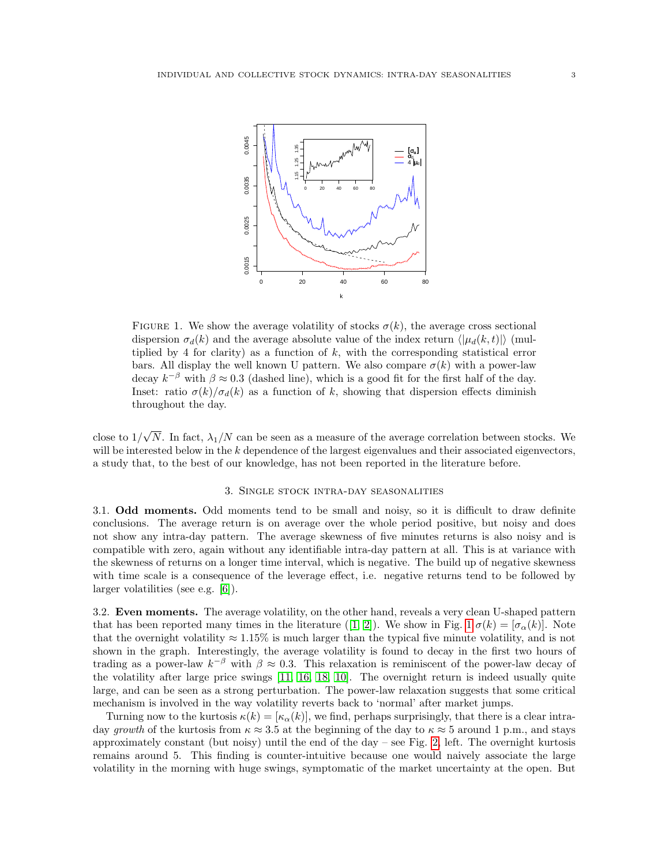

<span id="page-2-0"></span>FIGURE 1. We show the average volatility of stocks  $\sigma(k)$ , the average cross sectional dispersion  $\sigma_d(k)$  and the average absolute value of the index return  $\langle |\mu_d(k,t)| \rangle$  (multiplied by 4 for clarity) as a function of  $k$ , with the corresponding statistical error bars. All display the well known U pattern. We also compare  $\sigma(k)$  with a power-law decay  $k^{-\beta}$  with  $\beta \approx 0.3$  (dashed line), which is a good fit for the first half of the day. Inset: ratio  $\sigma(k)/\sigma_d(k)$  as a function of k, showing that dispersion effects diminish throughout the day.

close to 1/ √ N. In fact,  $\lambda_1/N$  can be seen as a measure of the average correlation between stocks. We will be interested below in the k dependence of the largest eigenvalues and their associated eigenvectors, a study that, to the best of our knowledge, has not been reported in the literature before.

#### 3. Single stock intra-day seasonalities

3.1. Odd moments. Odd moments tend to be small and noisy, so it is difficult to draw definite conclusions. The average return is on average over the whole period positive, but noisy and does not show any intra-day pattern. The average skewness of five minutes returns is also noisy and is compatible with zero, again without any identifiable intra-day pattern at all. This is at variance with the skewness of returns on a longer time interval, which is negative. The build up of negative skewness with time scale is a consequence of the leverage effect, i.e. negative returns tend to be followed by larger volatilities (see e.g. [\[6\]](#page-9-0)).

3.2. Even moments. The average volatility, on the other hand, reveals a very clean U-shaped pattern that has been reported many times in the literature ([\[1,](#page-8-0) [2\]](#page-8-1)). We show in Fig. [1](#page-2-0)  $\sigma(k) = [\sigma_{\alpha}(k)]$ . Note that the overnight volatility  $\approx 1.15\%$  is much larger than the typical five minute volatility, and is not shown in the graph. Interestingly, the average volatility is found to decay in the first two hours of trading as a power-law  $k^{-\beta}$  with  $\beta \approx 0.3$ . This relaxation is reminiscent of the power-law decay of the volatility after large price swings [\[11,](#page-9-4) [16,](#page-9-5) [18,](#page-9-6) [10\]](#page-9-7). The overnight return is indeed usually quite large, and can be seen as a strong perturbation. The power-law relaxation suggests that some critical mechanism is involved in the way volatility reverts back to 'normal' after market jumps.

Turning now to the kurtosis  $\kappa(k) = [\kappa_{\alpha}(k)]$ , we find, perhaps surprisingly, that there is a clear intraday growth of the kurtosis from  $\kappa \approx 3.5$  at the beginning of the day to  $\kappa \approx 5$  around 1 p.m., and stays approximately constant (but noisy) until the end of the day – see Fig. [2,](#page-3-0) left. The overnight kurtosis remains around 5. This finding is counter-intuitive because one would naively associate the large volatility in the morning with huge swings, symptomatic of the market uncertainty at the open. But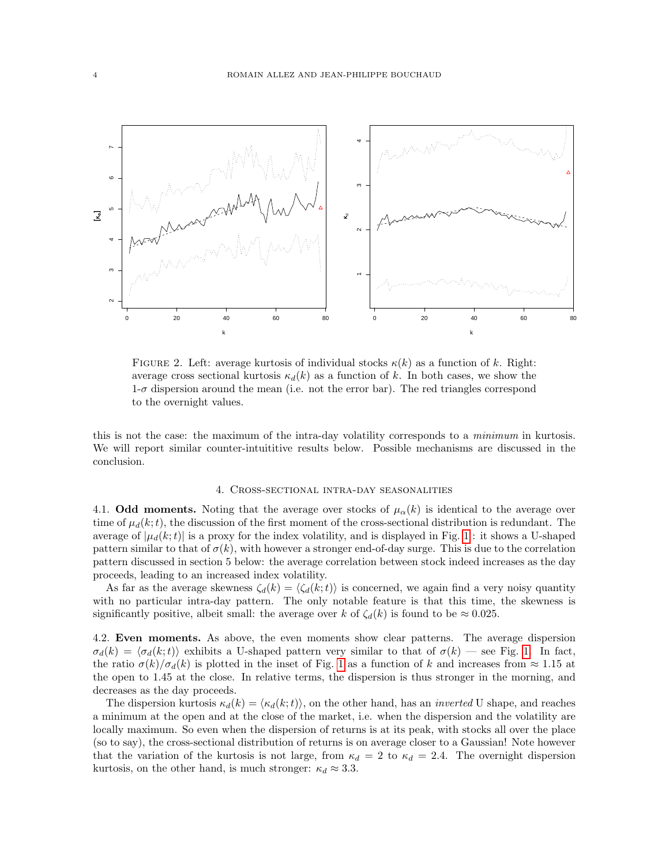

<span id="page-3-0"></span>FIGURE 2. Left: average kurtosis of individual stocks  $\kappa(k)$  as a function of k. Right: average cross sectional kurtosis  $\kappa_d(k)$  as a function of k. In both cases, we show the  $1-\sigma$  dispersion around the mean (i.e. not the error bar). The red triangles correspond to the overnight values.

this is not the case: the maximum of the intra-day volatility corresponds to a minimum in kurtosis. We will report similar counter-intuititive results below. Possible mechanisms are discussed in the conclusion.

#### 4. Cross-sectional intra-day seasonalities

4.1. **Odd moments.** Noting that the average over stocks of  $\mu_{\alpha}(k)$  is identical to the average over time of  $\mu_d(k;t)$ , the discussion of the first moment of the cross-sectional distribution is redundant. The average of  $|\mu_d(k;t)|$  is a proxy for the index volatility, and is displayed in Fig. [1](#page-2-0): it shows a U-shaped pattern similar to that of  $\sigma(k)$ , with however a stronger end-of-day surge. This is due to the correlation pattern discussed in section 5 below: the average correlation between stock indeed increases as the day proceeds, leading to an increased index volatility.

As far as the average skewness  $\zeta_d(k) = \langle \zeta_d(k;t) \rangle$  is concerned, we again find a very noisy quantity with no particular intra-day pattern. The only notable feature is that this time, the skewness is significantly positive, albeit small: the average over k of  $\zeta_d(k)$  is found to be  $\approx 0.025$ .

4.2. Even moments. As above, the even moments show clear patterns. The average dispersion  $\sigma_d(k) = \langle \sigma_d(k;t) \rangle$  exhibits a U-shaped pattern very similar to that of  $\sigma(k)$  — see Fig. [1.](#page-2-0) In fact, the ratio  $\sigma(k)/\sigma_d(k)$  is plotted in the inset of Fig. [1](#page-2-0) as a function of k and increases from  $\approx 1.15$  at the open to 1.45 at the close. In relative terms, the dispersion is thus stronger in the morning, and decreases as the day proceeds.

The dispersion kurtosis  $\kappa_d(k) = \langle \kappa_d(k;t) \rangle$ , on the other hand, has an *inverted* U shape, and reaches a minimum at the open and at the close of the market, i.e. when the dispersion and the volatility are locally maximum. So even when the dispersion of returns is at its peak, with stocks all over the place (so to say), the cross-sectional distribution of returns is on average closer to a Gaussian! Note however that the variation of the kurtosis is not large, from  $\kappa_d = 2$  to  $\kappa_d = 2.4$ . The overnight dispersion kurtosis, on the other hand, is much stronger:  $\kappa_d \approx 3.3$ .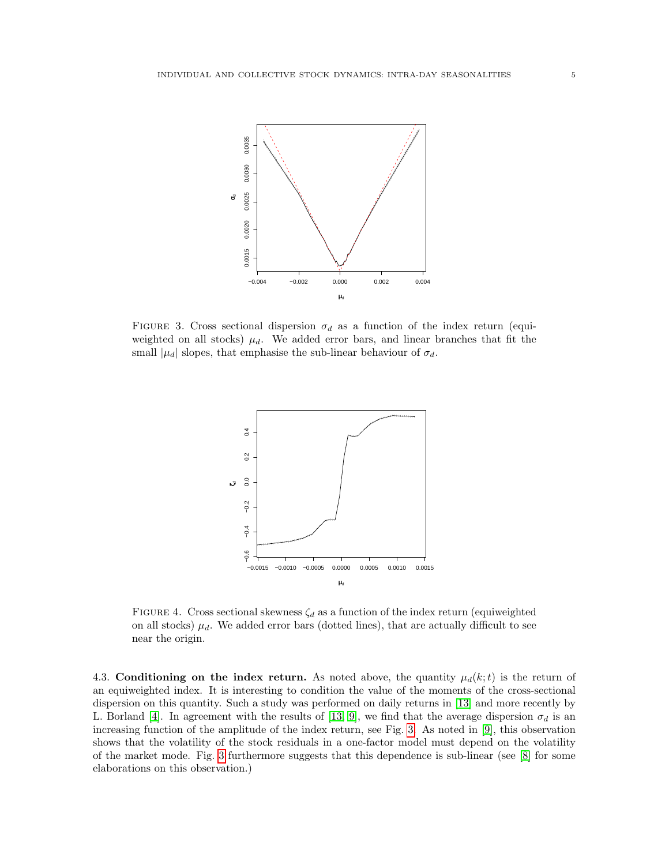

<span id="page-4-0"></span>FIGURE 3. Cross sectional dispersion  $\sigma_d$  as a function of the index return (equiweighted on all stocks)  $\mu_d$ . We added error bars, and linear branches that fit the small  $|\mu_d|$  slopes, that emphasise the sub-linear behaviour of  $\sigma_d$ .



<span id="page-4-1"></span>FIGURE 4. Cross sectional skewness  $\zeta_d$  as a function of the index return (equiweighted on all stocks)  $\mu_d$ . We added error bars (dotted lines), that are actually difficult to see near the origin.

4.3. Conditioning on the index return. As noted above, the quantity  $\mu_d(k;t)$  is the return of an equiweighted index. It is interesting to condition the value of the moments of the cross-sectional dispersion on this quantity. Such a study was performed on daily returns in [\[13\]](#page-9-8) and more recently by L. Borland [\[4\]](#page-8-2). In agreement with the results of [\[13,](#page-9-8) [9\]](#page-9-9), we find that the average dispersion  $\sigma_d$  is an increasing function of the amplitude of the index return, see Fig. [3.](#page-4-0) As noted in [\[9\]](#page-9-9), this observation shows that the volatility of the stock residuals in a one-factor model must depend on the volatility of the market mode. Fig. [3](#page-4-0) furthermore suggests that this dependence is sub-linear (see [\[8\]](#page-9-10) for some elaborations on this observation.)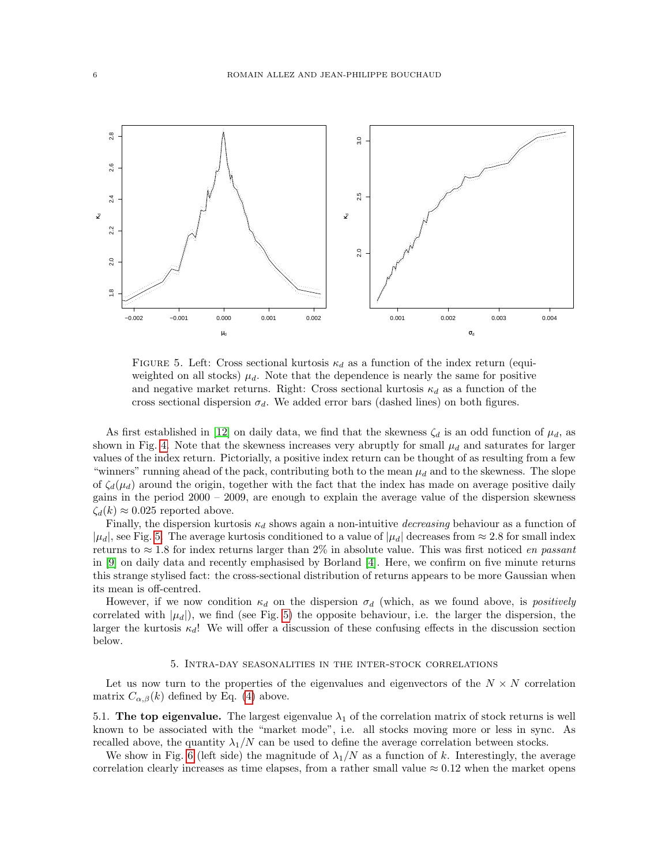

<span id="page-5-0"></span>FIGURE 5. Left: Cross sectional kurtosis  $\kappa_d$  as a function of the index return (equiweighted on all stocks)  $\mu_d$ . Note that the dependence is nearly the same for positive and negative market returns. Right: Cross sectional kurtosis  $\kappa_d$  as a function of the cross sectional dispersion  $\sigma_d$ . We added error bars (dashed lines) on both figures.

As first established in [\[12\]](#page-9-11) on daily data, we find that the skewness  $\zeta_d$  is an odd function of  $\mu_d$ , as shown in Fig. [4.](#page-4-1) Note that the skewness increases very abruptly for small  $\mu_d$  and saturates for larger values of the index return. Pictorially, a positive index return can be thought of as resulting from a few "winners" running ahead of the pack, contributing both to the mean  $\mu_d$  and to the skewness. The slope of  $\zeta_d(\mu_d)$  around the origin, together with the fact that the index has made on average positive daily gains in the period 2000 – 2009, are enough to explain the average value of the dispersion skewness  $\zeta_d(k) \approx 0.025$  reported above.

Finally, the dispersion kurtosis  $\kappa_d$  shows again a non-intuitive *decreasing* behaviour as a function of  $|\mu_d|$ , see Fig. [5.](#page-5-0) The average kurtosis conditioned to a value of  $|\mu_d|$  decreases from  $\approx 2.8$  for small index returns to  $\approx 1.8$  for index returns larger than 2% in absolute value. This was first noticed *en passant* in [\[9\]](#page-9-9) on daily data and recently emphasised by Borland [\[4\]](#page-8-2). Here, we confirm on five minute returns this strange stylised fact: the cross-sectional distribution of returns appears to be more Gaussian when its mean is off-centred.

However, if we now condition  $\kappa_d$  on the dispersion  $\sigma_d$  (which, as we found above, is *positively* correlated with  $|\mu_d|$ , we find (see Fig. [5\)](#page-5-0) the opposite behaviour, i.e. the larger the dispersion, the larger the kurtosis  $\kappa_d$ ! We will offer a discussion of these confusing effects in the discussion section below.

#### 5. Intra-day seasonalities in the inter-stock correlations

Let us now turn to the properties of the eigenvalues and eigenvectors of the  $N \times N$  correlation matrix  $C_{\alpha,\beta}(k)$  defined by Eq. [\(4\)](#page-1-0) above.

5.1. The top eigenvalue. The largest eigenvalue  $\lambda_1$  of the correlation matrix of stock returns is well known to be associated with the "market mode", i.e. all stocks moving more or less in sync. As recalled above, the quantity  $\lambda_1/N$  can be used to define the average correlation between stocks.

We show in Fig. [6](#page-6-0) (left side) the magnitude of  $\lambda_1/N$  as a function of k. Interestingly, the average correlation clearly increases as time elapses, from a rather small value  $\approx 0.12$  when the market opens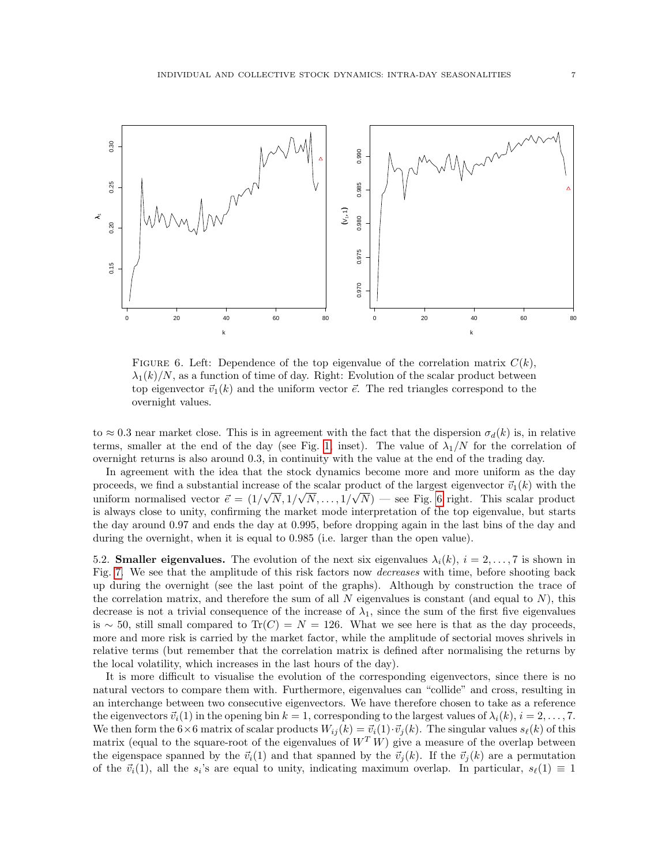

0 20 40 60 80

k

FIGURE 6. Left: Dependence of the top eigenvalue of the correlation matrix  $C(k)$ ,  $\lambda_1(k)/N$ , as a function of time of day. Right: Evolution of the scalar product between top eigenvector  $\vec{v}_1(k)$  and the uniform vector  $\vec{e}$ . The red triangles correspond to the overnight values.

0 20 40 60 80

<span id="page-6-0"></span>k

0.15 0.20 0.25 0.30

0.20

 $0.15$ 

0.25

0.30

 $\bar{\mathcal{X}}$ 

to  $\approx 0.3$  near market close. This is in agreement with the fact that the dispersion  $\sigma_d(k)$  is, in relative terms, smaller at the end of the day (see Fig. [1,](#page-2-0) inset). The value of  $\lambda_1/N$  for the correlation of overnight returns is also around 0.3, in continuity with the value at the end of the trading day.

In agreement with the idea that the stock dynamics become more and more uniform as the day proceeds, we find a substantial increase of the scalar product of the largest eigenvector  $\vec{v}_1(k)$  with the uniform normalised vector  $\vec{e} = (1/\sqrt{N}, 1/\sqrt{N}, \ldots, 1/\sqrt{N})$  — see Fig. [6](#page-6-0) right. This scalar product is always close to unity, confirming the market mode interpretation of the top eigenvalue, but starts the day around 0.97 and ends the day at 0.995, before dropping again in the last bins of the day and during the overnight, when it is equal to 0.985 (i.e. larger than the open value).

5.2. **Smaller eigenvalues.** The evolution of the next six eigenvalues  $\lambda_i(k)$ ,  $i = 2, \ldots, 7$  is shown in Fig. [7.](#page-7-0) We see that the amplitude of this risk factors now decreases with time, before shooting back up during the overnight (see the last point of the graphs). Although by construction the trace of the correlation matrix, and therefore the sum of all  $N$  eigenvalues is constant (and equal to  $N$ ), this decrease is not a trivial consequence of the increase of  $\lambda_1$ , since the sum of the first five eigenvalues is ∼ 50, still small compared to Tr(C) =  $N = 126$ . What we see here is that as the day proceeds, more and more risk is carried by the market factor, while the amplitude of sectorial moves shrivels in relative terms (but remember that the correlation matrix is defined after normalising the returns by the local volatility, which increases in the last hours of the day).

It is more difficult to visualise the evolution of the corresponding eigenvectors, since there is no natural vectors to compare them with. Furthermore, eigenvalues can "collide" and cross, resulting in an interchange between two consecutive eigenvectors. We have therefore chosen to take as a reference the eigenvectors  $\vec{v}_i(1)$  in the opening bin  $k = 1$ , corresponding to the largest values of  $\lambda_i(k)$ ,  $i = 2, \ldots, 7$ . We then form the  $6\times 6$  matrix of scalar products  $W_{ij}(k) = \vec{v}_i(1)\cdot \vec{v}_j(k)$ . The singular values  $s_{\ell}(k)$  of this matrix (equal to the square-root of the eigenvalues of  $W^T W$ ) give a measure of the overlap between the eigenspace spanned by the  $\vec{v}_i(1)$  and that spanned by the  $\vec{v}_j(k)$ . If the  $\vec{v}_j(k)$  are a permutation of the  $\vec{v}_i(1)$ , all the  $s_i$ 's are equal to unity, indicating maximum overlap. In particular,  $s_\ell(1) \equiv 1$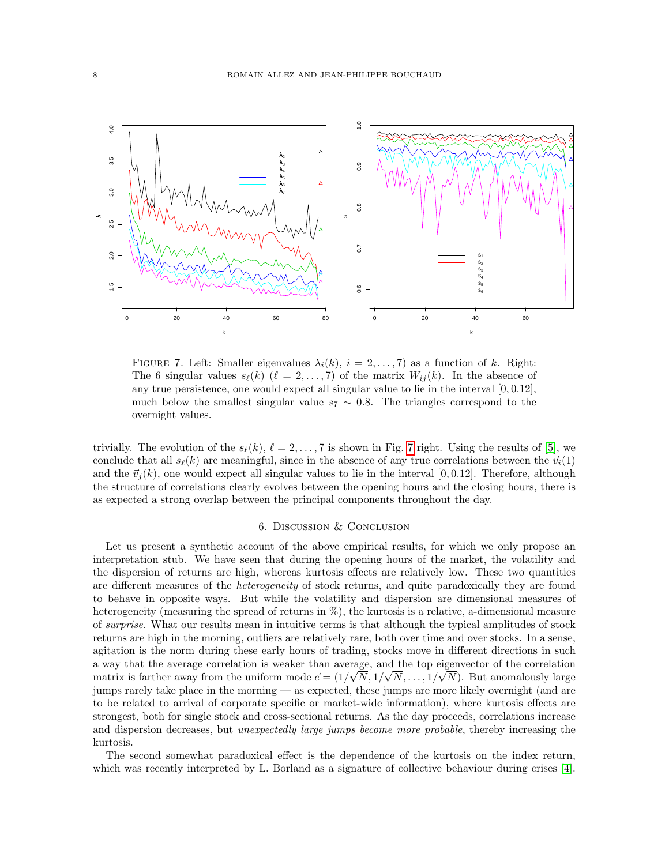

<span id="page-7-0"></span>FIGURE 7. Left: Smaller eigenvalues  $\lambda_i(k), i = 2, \ldots, 7$  as a function of k. Right: The 6 singular values  $s_{\ell}(k)$  ( $\ell = 2, ..., 7$ ) of the matrix  $W_{ij}(k)$ . In the absence of any true persistence, one would expect all singular value to lie in the interval [0, 0.12], much below the smallest singular value  $s_7 \sim 0.8$ . The triangles correspond to the overnight values.

trivially. The evolution of the  $s_{\ell}(k), \ell = 2, \ldots, 7$  $s_{\ell}(k), \ell = 2, \ldots, 7$  is shown in Fig. 7 right. Using the results of [\[5\]](#page-9-12), we conclude that all  $s_{\ell}(k)$  are meaningful, since in the absence of any true correlations between the  $\vec{v}_i(1)$ and the  $\vec{v}_i(k)$ , one would expect all singular values to lie in the interval [0, 0.12]. Therefore, although the structure of correlations clearly evolves between the opening hours and the closing hours, there is as expected a strong overlap between the principal components throughout the day.

### 6. Discussion & Conclusion

Let us present a synthetic account of the above empirical results, for which we only propose an interpretation stub. We have seen that during the opening hours of the market, the volatility and the dispersion of returns are high, whereas kurtosis effects are relatively low. These two quantities are different measures of the *heterogeneity* of stock returns, and quite paradoxically they are found to behave in opposite ways. But while the volatility and dispersion are dimensional measures of heterogeneity (measuring the spread of returns in %), the kurtosis is a relative, a-dimensional measure of surprise. What our results mean in intuitive terms is that although the typical amplitudes of stock returns are high in the morning, outliers are relatively rare, both over time and over stocks. In a sense, agitation is the norm during these early hours of trading, stocks move in different directions in such a way that the average correlation is weaker than average, and the top eigenvector of the correlation matrix is farther away from the uniform mode  $\vec{e} = (1/\sqrt{N}, 1/\sqrt{N}, \ldots, 1/\sqrt{N})$ . But anomalously large jumps rarely take place in the morning — as expected, these jumps are more likely overnight (and are to be related to arrival of corporate specific or market-wide information), where kurtosis effects are strongest, both for single stock and cross-sectional returns. As the day proceeds, correlations increase and dispersion decreases, but *unexpectedly large jumps become more probable*, thereby increasing the kurtosis.

The second somewhat paradoxical effect is the dependence of the kurtosis on the index return, which was recently interpreted by L. Borland as a signature of collective behaviour during crises [\[4\]](#page-8-2).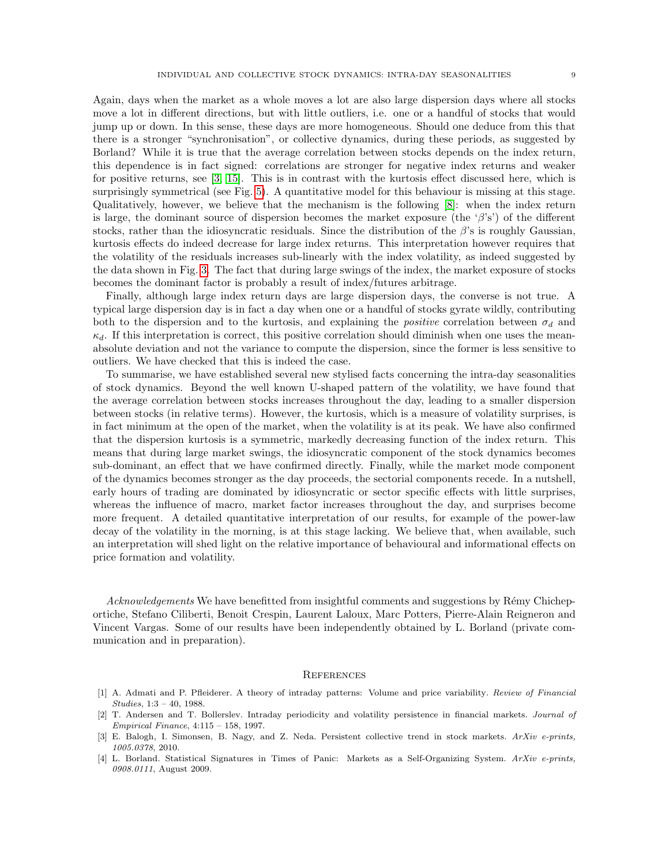Again, days when the market as a whole moves a lot are also large dispersion days where all stocks move a lot in different directions, but with little outliers, i.e. one or a handful of stocks that would jump up or down. In this sense, these days are more homogeneous. Should one deduce from this that there is a stronger "synchronisation", or collective dynamics, during these periods, as suggested by Borland? While it is true that the average correlation between stocks depends on the index return, this dependence is in fact signed: correlations are stronger for negative index returns and weaker for positive returns, see [\[3,](#page-8-3) [15\]](#page-9-13). This is in contrast with the kurtosis effect discussed here, which is surprisingly symmetrical (see Fig. [5\)](#page-5-0). A quantitative model for this behaviour is missing at this stage. Qualitatively, however, we believe that the mechanism is the following [\[8\]](#page-9-10): when the index return is large, the dominant source of dispersion becomes the market exposure (the ' $\beta$ 's') of the different stocks, rather than the idiosyncratic residuals. Since the distribution of the  $\beta$ 's is roughly Gaussian, kurtosis effects do indeed decrease for large index returns. This interpretation however requires that the volatility of the residuals increases sub-linearly with the index volatility, as indeed suggested by the data shown in Fig. [3.](#page-4-0) The fact that during large swings of the index, the market exposure of stocks becomes the dominant factor is probably a result of index/futures arbitrage.

Finally, although large index return days are large dispersion days, the converse is not true. A typical large dispersion day is in fact a day when one or a handful of stocks gyrate wildly, contributing both to the dispersion and to the kurtosis, and explaining the *positive* correlation between  $\sigma_d$  and  $\kappa_d$ . If this interpretation is correct, this positive correlation should diminish when one uses the meanabsolute deviation and not the variance to compute the dispersion, since the former is less sensitive to outliers. We have checked that this is indeed the case.

To summarise, we have established several new stylised facts concerning the intra-day seasonalities of stock dynamics. Beyond the well known U-shaped pattern of the volatility, we have found that the average correlation between stocks increases throughout the day, leading to a smaller dispersion between stocks (in relative terms). However, the kurtosis, which is a measure of volatility surprises, is in fact minimum at the open of the market, when the volatility is at its peak. We have also confirmed that the dispersion kurtosis is a symmetric, markedly decreasing function of the index return. This means that during large market swings, the idiosyncratic component of the stock dynamics becomes sub-dominant, an effect that we have confirmed directly. Finally, while the market mode component of the dynamics becomes stronger as the day proceeds, the sectorial components recede. In a nutshell, early hours of trading are dominated by idiosyncratic or sector specific effects with little surprises, whereas the influence of macro, market factor increases throughout the day, and surprises become more frequent. A detailed quantitative interpretation of our results, for example of the power-law decay of the volatility in the morning, is at this stage lacking. We believe that, when available, such an interpretation will shed light on the relative importance of behavioural and informational effects on price formation and volatility.

 $Acknowledgements$  We have benefitted from insightful comments and suggestions by Rémy Chicheportiche, Stefano Ciliberti, Benoit Crespin, Laurent Laloux, Marc Potters, Pierre-Alain Reigneron and Vincent Vargas. Some of our results have been independently obtained by L. Borland (private communication and in preparation).

#### **REFERENCES**

- <span id="page-8-0"></span>[1] A. Admati and P. Pfleiderer. A theory of intraday patterns: Volume and price variability. Review of Financial Studies, 1:3 – 40, 1988.
- <span id="page-8-1"></span>[2] T. Andersen and T. Bollerslev. Intraday periodicity and volatility persistence in financial markets. Journal of Empirical Finance, 4:115 – 158, 1997.
- <span id="page-8-3"></span>[3] E. Balogh, I. Simonsen, B. Nagy, and Z. Neda. Persistent collective trend in stock markets. ArXiv e-prints, 1005.0378, 2010.
- <span id="page-8-2"></span>[4] L. Borland. Statistical Signatures in Times of Panic: Markets as a Self-Organizing System. ArXiv e-prints, 0908.0111, August 2009.